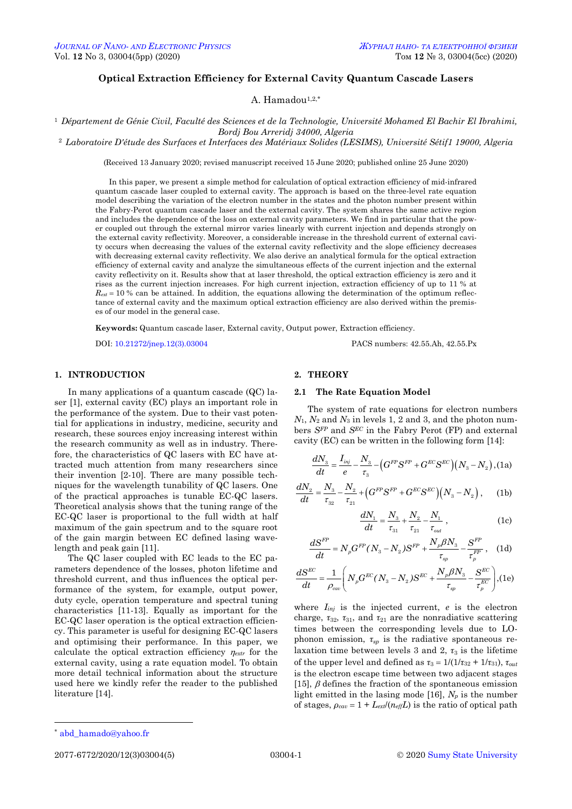# **Optical Extraction Efficiency for External Cavity Quantum Cascade Lasers**

A. Hamadou<sup>1,2,\*</sup>

<sup>1</sup> *Département de Génie Civil, Faculté des Sciences et de la Technologie, Université Mohamed El Bachir El Ibrahimi, Bordj Bou Arreridj 34000, Algeria*

<sup>2</sup> *Laboratoire D'étude des Surfaces et Interfaces des Matériaux Solides (LESIMS), Université Sétif1 19000, Algeria*

(Received 13 January 2020; revised manuscript received 15 June 2020; published online 25 June 2020)

In this paper, we present a simple method for calculation of optical extraction efficiency of mid-infrared quantum cascade laser coupled to external cavity. The approach is based on the three-level rate equation model describing the variation of the electron number in the states and the photon number present within the Fabry-Perot quantum cascade laser and the external cavity. The system shares the same active region and includes the dependence of the loss on external cavity parameters. We find in particular that the power coupled out through the external mirror varies linearly with current injection and depends strongly on the external cavity reflectivity. Moreover, a considerable increase in the threshold current of external cavity occurs when decreasing the values of the external cavity reflectivity and the slope efficiency decreases with decreasing external cavity reflectivity. We also derive an analytical formula for the optical extraction efficiency of external cavity and analyze the simultaneous effects of the current injection and the external cavity reflectivity on it. Results show that at laser threshold, the optical extraction efficiency is zero and it rises as the current injection increases. For high current injection, extraction efficiency of up to 11 % at  $R_{ext}$  = 10 % can be attained. In addition, the equations allowing the determination of the optimum reflectance of external cavity and the maximum optical extraction efficiency are also derived within the premises of our model in the general case.

**Keywords:** Quantum cascade laser, External cavity, Output power, Extraction efficiency.

DOI[: 10.21272/jnep.12\(3\).03004](https://doi.org/10.21272/jnep.12(3).03004) PACS numbers: 42.55.Ah, 42.55.Px

## **1. INTRODUCTION**

In many applications of a quantum cascade (QC) laser [1], external cavity (EC) plays an important role in the performance of the system. Due to their vast potential for applications in industry, medicine, security and research, these sources enjoy increasing interest within the research community as well as in industry. Therefore, the characteristics of QC lasers with EC have attracted much attention from many researchers since their invention [2-10]. There are many possible techniques for the wavelength tunability of QC lasers. One of the practical approaches is tunable EC-QC lasers. Theoretical analysis shows that the tuning range of the EC-QC laser is proportional to the full width at half maximum of the gain spectrum and to the square root of the gain margin between EC defined lasing wavelength and peak gain [11].

The QC laser coupled with EC leads to the EC parameters dependence of the losses, photon lifetime and threshold current, and thus influences the optical performance of the system, for example, output power, duty cycle, operation temperature and spectral tuning characteristics [11-13]. Equally as important for the EC-QC laser operation is the optical extraction efficiency. This parameter is useful for designing EC-QC lasers and optimising their performance. In this paper, we calculate the optical extraction efficiency  $\eta_{\text{ext}}$  for the external cavity, using a rate equation model. To obtain more detail technical information about the structure used here we kindly refer the reader to the published literature [14].

## **2. THEORY**

## **2.1 The Rate Equation Model**

The system of rate equations for electron numbers *N*1, *N*<sup>2</sup> and *N*<sup>3</sup> in levels 1, 2 and 3, and the photon numbers *SFP* and *SEC* in the Fabry Perot (FP) and external

cavity (EC) can be written in the following form [14]:  
\n
$$
\frac{dN_3}{dt} = \frac{I_{inj}}{e} - \frac{N_3}{\tau_3} - \left(G^{FP}S^{FP} + G^{EC}S^{EC}\right)\left(N_3 - N_2\right),
$$
\n(1a)

$$
\frac{dN_2}{dt} = \frac{N_3}{\tau_{32}} - \frac{N_2}{\tau_{21}} + \left(G^{FP}S^{FP} + G^{EC}S^{EC}\right)\left(N_3 - N_2\right), \quad \text{(1b)}
$$

$$
\frac{dN_1}{dt} = \frac{N_3}{\tau_{31}} + \frac{N_2}{\tau_{21}} - \frac{N_1}{\tau_{out}} ,
$$
 (1c)

$$
\frac{dS^{FP}}{dt} = N_p G^{FP} (N_3 - N_2) S^{FP} + \frac{N_p \beta N_3}{\tau_{sp}} - \frac{S^{FP}}{\tau_{p}^{FP}}, \quad (1d)
$$

$$
\frac{dS^{EC}}{dt} = \frac{1}{\rho_{cav}} \left( N_p G^{EC} (N_3 - N_2) S^{EC} + \frac{N_p \beta N_3}{\tau_{sp}} - \frac{S^{EC}}{\tau_p^{EC}} \right),
$$
(1e)

where *Iinj* is the injected current, *e* is the electron charge,  $\tau_{32}$ ,  $\tau_{31}$ , and  $\tau_{21}$  are the nonradiative scattering times between the corresponding levels due to LOphonon emission, *τsp* is the radiative spontaneous relaxation time between levels 3 and 2,  $\tau_3$  is the lifetime of the upper level and defined as  $\tau_3 = 1/(1/\tau_{32} + 1/\tau_{31}), \tau_{out}$ is the electron escape time between two adjacent stages [15],  $\beta$  defines the fraction of the spontaneous emission light emitted in the lasing mode [16], *N<sup>p</sup>* is the number of stages,  $\rho_{cav} = 1 + L_{ext}/(n_{eff}L)$  is the ratio of optical path

<u>.</u>

<span id="page-0-3"></span><span id="page-0-2"></span><span id="page-0-1"></span><span id="page-0-0"></span>

<sup>\*</sup> [abd\\_hamado@yahoo.fr](mailto:abd_hamado@yahoo.fr)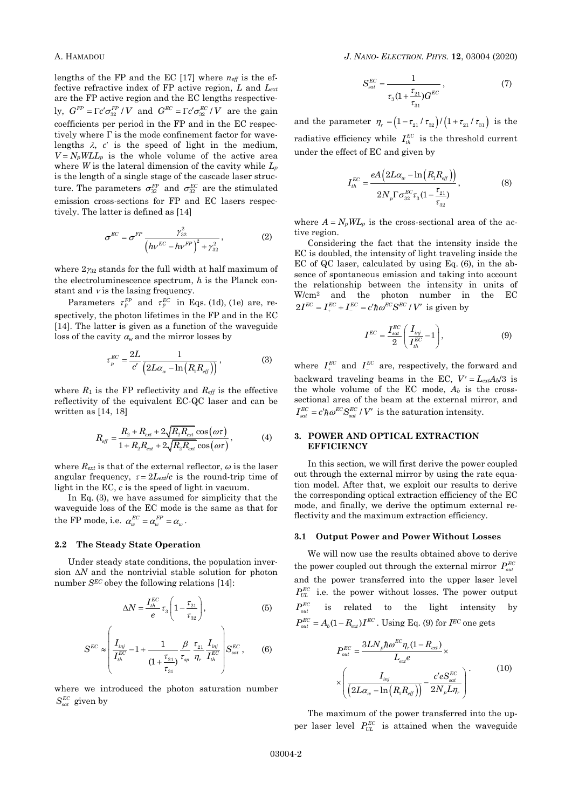lengths of the FP and the EC [17] where *neff* is the effective refractive index of FP active region, *L* and *Lext* are the FP active region and the EC lengths respectively,  $G^{FP} = \Gamma c' \sigma_{32}^{FP} / V$  and  $G^{EC} = \Gamma c' \sigma_{32}^{EC} / V$  are the gain coefficients per period in the FP and in the EC respectively where  $\Gamma$  is the mode confinement factor for wavelengths  $\lambda$ ,  $c'$  is the speed of light in the medium,  $V = N_p W L L_p$  is the whole volume of the active area where *W* is the lateral dimension of the cavity while *L<sup>p</sup>* is the length of a single stage of the cascade laser structure. The parameters  $\sigma_{32}^{FP}$  and  $\sigma_{32}^{EC}$  are the stimulated emission cross-sections for FP and EC lasers respectively. The latter is defined as [14]

$$
\sigma^{EC} = \sigma^{FP} \frac{\gamma_{32}^2}{\left(hv^{EC} - h v^{FP}\right)^2 + \gamma_{32}^2},\tag{2}
$$

where  $2\gamma_{32}$  stands for the full width at half maximum of the electroluminescence spectrum, *h* is the Planck constant and  $\nu$  is the lasing frequency.

Parameters  $\tau_p^{FP}$  and  $\tau_p^{EC}$  in Eqs. (1d), (1e) are, respectively, the photon lifetimes in the FP and in the EC [14]. The latter is given as a function of the waveguide loss of the cavity  $a_w$  and the mirror losses by

$$
\tau_{p}^{EC} = \frac{2L}{c'} \frac{1}{\left(2L\alpha_{w} - \ln\left(R_{1}R_{\text{eff}}\right)\right)}\,,\tag{3}
$$

where  $R_1$  is the FP reflectivity and  $R_{\text{eff}}$  is the effective reflectivity of the equivalent EC-QC laser and can be written as [14, 18]

$$
R_{\text{eff}} = \frac{R_{2} + R_{\text{ext}} + 2\sqrt{R_{2}R_{\text{ext}}} \cos(\omega \tau)}{1 + R_{2}R_{\text{ext}} + 2\sqrt{R_{2}R_{\text{ext}}} \cos(\omega \tau)},
$$
(4)

where  $R_{ext}$  is that of the external reflector,  $\omega$  is the laser angular frequency,  $\tau = 2L_{ext}/c$  is the round-trip time of light in the EC, *c* is the speed of light in vacuum.

In Eq. (3), we have assumed for simplicity that the waveguide loss of the EC mode is the same as that for the FP mode, i.e.  $\alpha_w^{EC} = \alpha_w^{FP} = \alpha_w$ .

## **2.2 The Steady State Operation**

Under steady state conditions, the population inversion  $\Delta N$  and the nontrivial stable solution for photon number *SEC* obey the following relations [14]:

$$
\Delta N = \frac{I_{th}^{EC}}{e} \tau_3 \left( 1 - \frac{\tau_{21}}{\tau_{32}} \right),\tag{5}
$$

$$
S^{EC} \approx \left(\frac{I_{inj}}{I_{th}^{EC}} - 1 + \frac{1}{(1 + \frac{\tau_{21}}{\tau_{31}})} \frac{\beta}{\tau_{sp}} \frac{\tau_{21}}{\eta_r} \frac{I_{inj}}{I_{th}^{EC}}\right) S_{sat}^{EC},
$$
 (6)

where we introduced the photon saturation number  $S^{EC}_{sat}$  given by

$$
S_{sat}^{EC} = \frac{1}{\tau_3 (1 + \frac{\tau_{21}}{\tau_{31}}) G^{EC}} ,
$$
 (7)

and the parameter  $\eta_r = (1 - \tau_{21} / \tau_{32}) / (1 + \tau_{21} / \tau_{31})$  is the radiative efficiency while  $I_{th}^{EC}$  is the threshold current under the effect of EC and given by

$$
I_{th}^{EC} = \frac{eA\left(2L\alpha_w - \ln\left(R_1 R_{eff}\right)\right)}{2N_{p}\Gamma\sigma_{32}^{EC}\tau_3(1-\frac{\tau_{21}}{\tau_{32}})},
$$
(8)

where  $A = N_pWL_p$  is the cross-sectional area of the active region.

Considering the fact that the intensity inside the EC is doubled, the intensity of light traveling inside the EC of QC laser, calculated by using Eq. (6), in the absence of spontaneous emission and taking into account the relationship between the intensity in units of W/cm<sup>2</sup> and the photon number in the EC  $2I^{EC} = I^{EC}_+ + I^{EC}_- = c' \hbar \omega^{EC} S^{EC} / V'$  is given by

$$
I^{EC} = \frac{I_{sat}^{EC}}{2} \left( \frac{I_{inj}}{I_{th}^{EC}} - 1 \right),\tag{9}
$$

where  $I_{+}^{EC}$  and  $I_{-}^{EC}$  are, respectively, the forward and backward traveling beams in the EC,  $V' = L_{ext}A_b/3$  is the whole volume of the EC mode,  $A_b$  is the crosssectional area of the beam at the external mirror, and  $I_{sat}^{EC} = c' \hbar \omega^{EC} S_{sat}^{EC} / V'$  is the saturation intensity.

## **3. POWER AND OPTICAL EXTRACTION EFFICIENCY**

In this section, we will first derive the power coupled out through the external mirror by using the rate equation model. After that, we exploit our results to derive the corresponding optical extraction efficiency of the EC mode, and finally, we derive the optimum external reflectivity and the maximum extraction efficiency.

## **3.1 Output Power and Power Without Losses**

We will now use the results obtained above to derive the power coupled out through the external mirror  $P_{out}^{EC}$ and the power transferred into the upper laser level  $P_{UL}^{EC}$  i.e. the power without losses. The power output  $P^{EC}_{\mu\nu}$ is related to the light intensity by  $P_{out}^{EC} = A_b (1 - R_{ext}) I^{EC}$ . Using Eq. (9) for *IEC* one gets

$$
P_{out}^{EC} = \frac{3LN_p \hbar \omega^{EC} \eta_r (1 - R_{ext})}{L_{ext}e} \times \left(\frac{I_{inj}}{\left(2L\alpha_w - \ln\left(R_1 R_{eff}\right)\right)} - \frac{c'eS_{sat}^{EC}}{2N_p L\eta_r}\right)
$$
(10)

The maximum of the power transferred into the upper laser level  $P_{UL}^{EC}$  is attained when the waveguide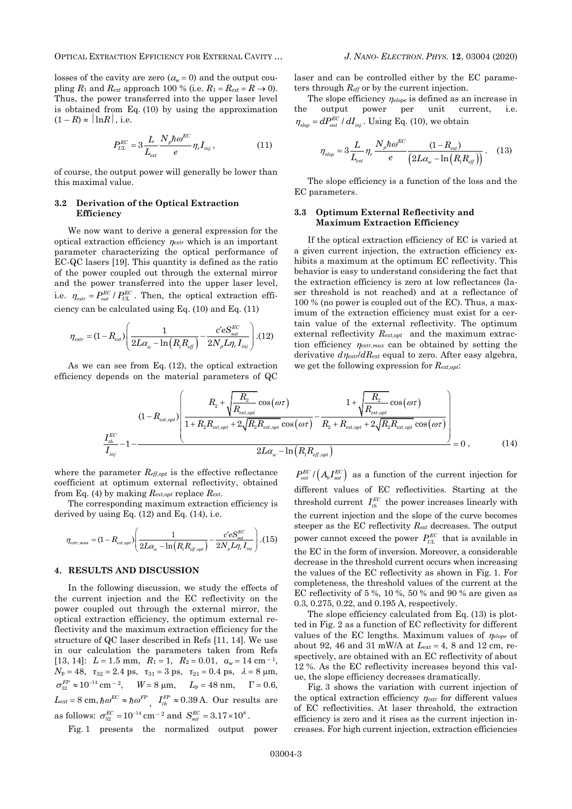losses of the cavity are zero  $(\alpha_w = 0)$  and the output coupling  $R_1$  and  $R_{ext}$  approach 100 % (i.e.  $R_1 = R_{ext} = R \rightarrow 0$ ). Thus, the power transferred into the upper laser level is obtained from Eq. (10) by using the approximation  $(1 - R) \approx |\ln R|$ , i.e.

$$
P_{UL}^{EC} = 3 \frac{L}{L_{ext}} \frac{N_p \hbar \omega^{EC}}{e} \eta_r I_{inj} , \qquad (11)
$$

of course, the output power will generally be lower than this maximal value.

#### **3.2 Derivation of the Optical Extraction Efficiency**

We now want to derive a general expression for the optical extraction efficiency  $\eta_{\text{extr}}$  which is an important parameter characterizing the optical performance of EC-QC lasers [19]. This quantity is defined as the ratio of the power coupled out through the external mirror and the power transferred into the upper laser level, i.e.  $\eta_{\text{ext}} = P_{\text{out}}^{\text{EC}} / P_{\text{UL}}^{\text{EC}}$ . Then, the optical extraction effi-

ciency can be calculated using Eq. (10) and Eq. (11)  
\n
$$
\eta_{\text{extr}} = (1 - R_{\text{ext}}) \left( \frac{1}{2L\alpha_{\text{w}} - \ln(R_{\text{t}}R_{\text{eff}})} - \frac{c'eS_{\text{sat}}^{EC}}{2N_{\text{p}}L\eta_{\text{r}}I_{\text{inj}}} \right). (12)
$$

As we can see from Eq. (12), the optical extraction efficiency depends on the material parameters of QC laser and can be controlled either by the EC parameters through *Reff* or by the current injection.

The slope efficiency  $\eta_{slope}$  is defined as an increase in the output power per unit current, i.e.  $\eta_{\text{stop}} = dP_{\text{out}}^{\text{EC}} / dI_{\text{inj}}$ . Using Eq. (10), we obtain

$$
\eta_{\text{stop}} = 3 \frac{L}{L_{\text{ext}}} \eta_r \frac{N_p \hbar \omega^{\text{EC}}}{e} \frac{(1 - R_{\text{ext}})}{(2L\alpha_w - \ln(R_{\text{eff}}))} \,. \tag{13}
$$

The slope efficiency is a function of the loss and the EC parameters.

## **3.3 Optimum External Reflectivity and Maximum Extraction Efficiency**

If the optical extraction efficiency of EC is varied at a given current injection, the extraction efficiency exhibits a maximum at the optimum EC reflectivity. This behavior is easy to understand considering the fact that the extraction efficiency is zero at low reflectances (laser threshold is not reached) and at a reflectance of 100 % (no power is coupled out of the EC). Thus, a maximum of the extraction efficiency must exist for a certain value of the external reflectivity. The optimum external reflectivity *Rext,opt* and the maximum extraction efficiency  $\eta_{\text{extr,max}}$  can be obtained by setting the derivative  $d\eta_{\text{extr}}/dR_{\text{ext}}$  equal to zero. After easy algebra, we get the following expression for *Rext,opt*:

\nIn see from Eq. (12), the optical extraction, we get the following expression for 
$$
R_{ext,opt}
$$
:  $R_{ext,opt}$ :  $R_{ext,opt}$ :  $R_{ext,opt}$  is the material parameters of  $QC$ .\n

\n\n
$$
(1 - R_{ext,opt}) \left( \frac{R_2 + \sqrt{\frac{R_2}{R_{ext,opt}}} \cos(\omega \tau) - \frac{1 + \sqrt{\frac{R_2}{R_{ext,opt}}} \cos(\omega \tau)}{1 + R_2 R_{ext,opt} + 2\sqrt{R_2 R_{ext,opt}}} \cos(\omega \tau) - \frac{1 + \sqrt{\frac{R_2}{R_{ext,opt}}} \cos(\omega \tau)}{R_2 + R_{ext,opt} + 2\sqrt{R_2 R_{ext,opt}}} \cos(\omega \tau) \right) = 0 \,, \tag{14}
$$
\n

where the parameter *Reff,opt* is the effective reflectance coefficient at optimum external reflectivity, obtained from Eq. (4) by making *Rext,opt* replace *Rext*.

The corresponding maximum extraction efficiency is derived by using Eq.  $(12)$  and Eq.  $(14)$ , i.e.

$$
\eta_{\text{extr,max}} = (1 - R_{\text{ext,opt}}) \left( \frac{1}{2L\alpha_w - \ln(R_1 R_{\text{eff,opt}})} - \frac{c'eS_{\text{sat}}^{EC}}{2N_p L\eta_r I_{inj}} \right). (15)
$$

## **4. RESULTS AND DISCUSSION**

In the following discussion, we study the effects of the current injection and the EC reflectivity on the power coupled out through the external mirror, the optical extraction efficiency, the optimum external reflectivity and the maximum extraction efficiency for the structure of QC laser described in Refs [11, 14]. We use in our calculation the parameters taken from Refs  $[13, 14]$ :  $L = 1.5$  mm,  $R_1 = 1$ ,  $R_2 = 0.01$ ,  $a_w = 14$  cm<sup>-1</sup>,  $N_p = 48$ ,  $\tau_{32} = 2.4$  ps,  $\tau_{31} = 3$  ps,  $\tau_{21} = 0.4$  ps,  $\lambda = 8$   $\mu$ m,  $\sigma_{32}^{FP} \approx 10^{-14}$  cm <sup>- 2</sup>,  $W = 8$  µm,  $L_p = 48$  nm,  $\Gamma = 0.6$ ,  $L_{ext} = 8 \text{ cm}, \hbar \omega^{EC} \approx \hbar \omega^{FP}$ ,  $I_{th}^{FP} \approx 0.39 \text{ A}.$  Our results are as follows:  $\sigma_{32}^{EC} = 10^{-14}$  cm <sup>- 2</sup> and  $S_{sat}^{EC} = 3.17 \times 10^8$ .

Fig. 1 presents the normalized output power

 $P_{out}^{EC}$  /  $(A_b I_{sat}^{EC})$  as a function of the current injection for different values of EC reflectivities. Starting at the threshold current  $I_{th}^{EC}$  the power increases linearly with the current injection and the slope of the curve becomes steeper as the EC reflectivity *Rext* decreases. The output power cannot exceed the power  $P_{UL}^{EC}$  that is available in the EC in the form of inversion. Moreover, a considerable decrease in the threshold current occurs when increasing the values of the EC reflectivity as shown in Fig. 1. For completeness, the threshold values of the current at the EC reflectivity of 5 %, 10 %, 50 % and 90 % are given as 0.3, 0.275, 0.22, and 0.195 A, respectively.

The slope efficiency calculated from Eq. (13) is plotted in Fig. 2 as a function of EC reflectivity for different values of the EC lengths. Maximum values of  $\eta_{slope}$  of about 92, 46 and 31 mW/A at  $L_{ext} = 4$ , 8 and 12 cm, respectively, are obtained with an EC reflectivity of about 12 %. As the EC reflectivity increases beyond this value, the slope efficiency decreases dramatically.

Fig. 3 shows the variation with current injection of the optical extraction efficiency  $\eta_{\text{extr}}$  for different values of EC reflectivities. At laser threshold, the extraction efficiency is zero and it rises as the current injection increases. For high current injection, extraction efficiencies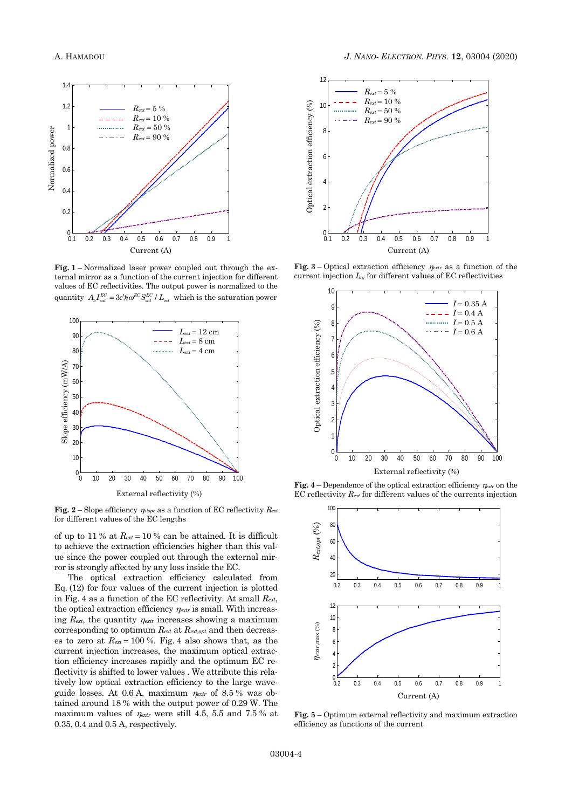

**Fig. 1** – Normalized laser power coupled out through the external mirror as a function of the current injection for different values of EC reflectivities. The output power is normalized to the quantity  $A_b I_{sat}^{EC} = 3c' \hbar \omega^{EC} S_{sat}^{EC} / L_{ext}$  which is the saturation power



**Fig.** 2 – Slope efficiency  $\eta_{slope}$  as a function of EC reflectivity  $R_{ext}$ for different values of the EC lengths

of up to 11 % at  $R_{ext} = 10$  % can be attained. It is difficult to achieve the extraction efficiencies higher than this value since the power coupled out through the external mirror is strongly affected by any loss inside the EC.

The optical extraction efficiency calculated from Eq. (12) for four values of the current injection is plotted in Fig. 4 as a function of the EC reflectivity. At small *Rext*, the optical extraction efficiency  $\eta_{\text{extr}}$  is small. With increasing  $R_{ext}$ , the quantity  $\eta_{ext}$  increases showing a maximum corresponding to optimum *Rext* at *Rext,opt* and then decreases to zero at  $R_{ext} = 100\%$ . Fig. 4 also shows that, as the current injection increases, the maximum optical extraction efficiency increases rapidly and the optimum EC reflectivity is shifted to lower values . We attribute this relatively low optical extraction efficiency to the large waveguide losses. At  $0.6$  A, maximum  $\eta_{\text{ext}}$  of  $8.5$ % was obtained around 18 % with the output power of 0.29 W. The maximum values of  $\eta_{\text{extr}}$  were still 4.5, 5.5 and 7.5 % at 0.35, 0.4 and 0.5 A, respectively.



**Fig.** 3 – Optical extraction efficiency  $\eta_{\text{extr}}$  as a function of the current injection *Iinj* for different values of EC reflectivities



**Fig.** 4 – Dependence of the optical extraction efficiency  $\eta_{\text{ext}}$  on the EC reflectivity *Rext* for different values of the currents injection



**Fig. 5** – Optimum external reflectivity and maximum extraction efficiency as functions of the current